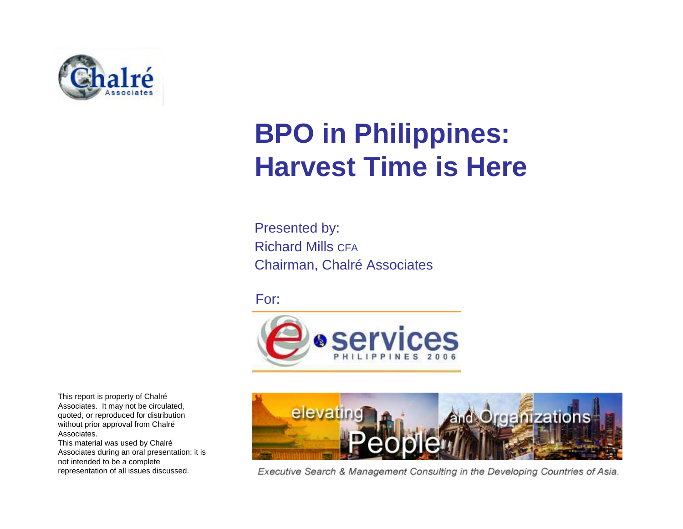

# **BPO in Philippines: Harvest Time is Here**

Presented by: Richard Mills CFAChairman, Chalré Associates

For:



elevating **auch Orgenizations** 

Executive Search & Management Consulting in the Developing Countries of Asia.

This report is property of Chalré Associates. It may not be circulated, quoted, or reproduced for distribution without prior approval from Chalré Associates.

This material was used by Chalré Associates during an oral presentation; it is not intended to be a complete representation of all issues discussed.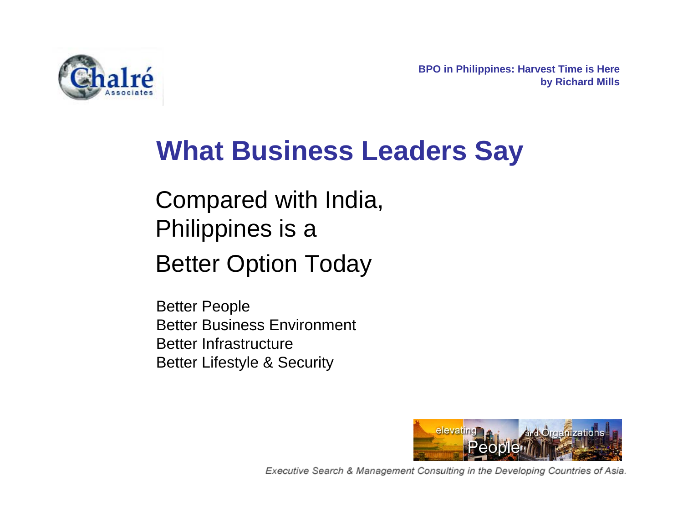

# **What Business Leaders Say**

Compared with India, Philippines is a Better Option Today

Better People Better Business EnvironmentBetter InfrastructureBetter Lifestyle & Security

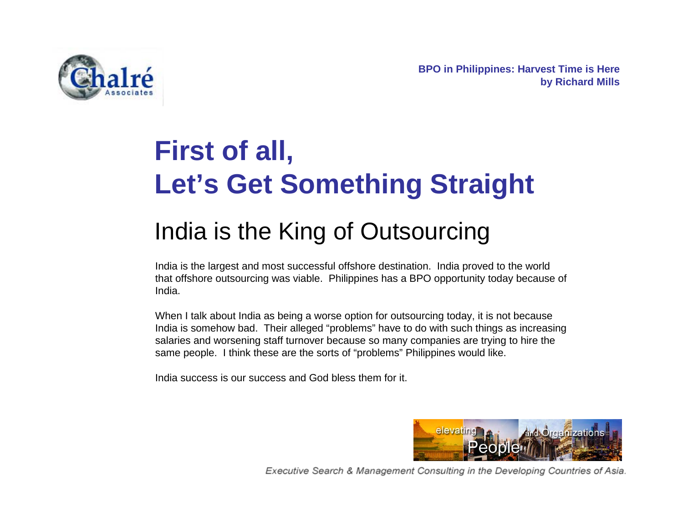

# **First of all, Let's Get Something Straight**

## India is the King of Outsourcing

India is the largest and most successful offshore destination. India proved to the world that offshore outsourcing was viable. Philippines has a BPO opportunity today because of India.

When I talk about India as being a worse option for outsourcing today, it is not because India is somehow bad. Their alleged "problems" have to do with such things as increasing salaries and worsening staff turnover because so many companies are trying to hire the same people. I think these are the sorts of "problems" Philippines would like.

India success is our success and God bless them for it.

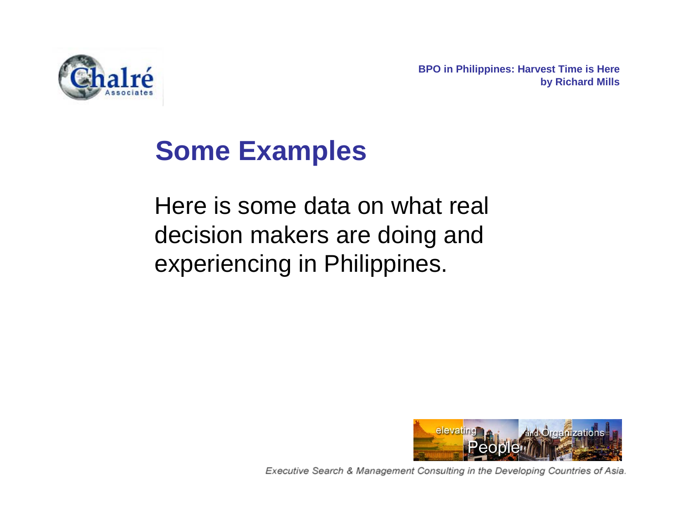

# **Some Examples**

Here is some data on what real decision makers are doing and experiencing in Philippines.

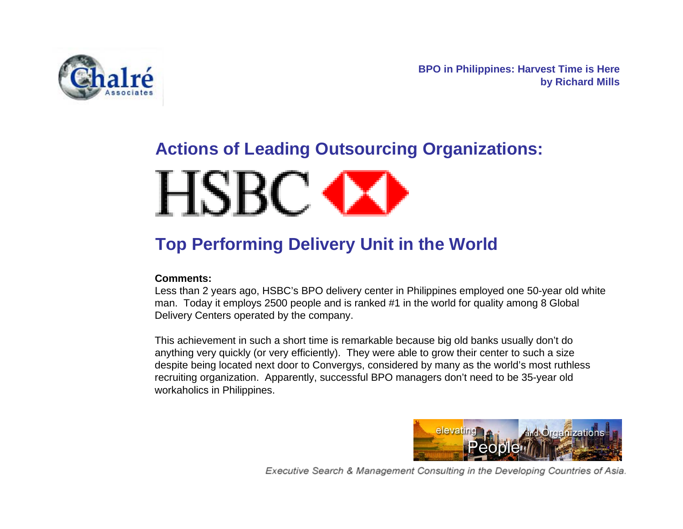

#### **Actions of Leading Outsourcing Organizations:**

# **HSBC OX**

### **Top Performing Delivery Unit in the World**

#### **Comments:**

Less than 2 years ago, HSBC's BPO delivery center in Philippines employed one 50-year old white man. Today it employs 2500 people and is ranked #1 in the world for quality among 8 Global Delivery Centers operated by the company.

This achievement in such a short time is remarkable because big old banks usually don't do anything very quickly (or very efficiently). They were able to grow their center to such a size despite being located next door to Convergys, considered by many as the world's most ruthless recruiting organization. Apparently, successful BPO managers don't need to be 35-year old workaholics in Philippines.

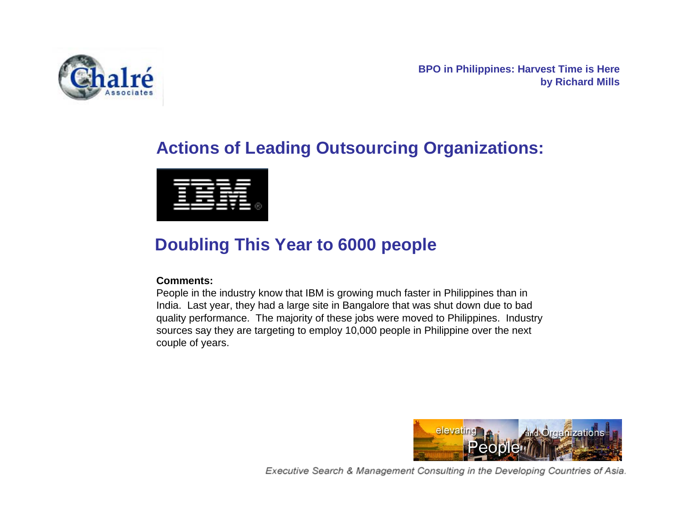

#### **Actions of Leading Outsourcing Organizations:**



#### **Doubling This Year to 6000 people**

#### **Comments:**

People in the industry know that IBM is growing much faster in Philippines than in India. Last year, they had a large site in Bangalore that was shut down due to bad quality performance. The majority of these jobs were moved to Philippines. Industry sources say they are targeting to employ 10,000 people in Philippine over the next couple of years.

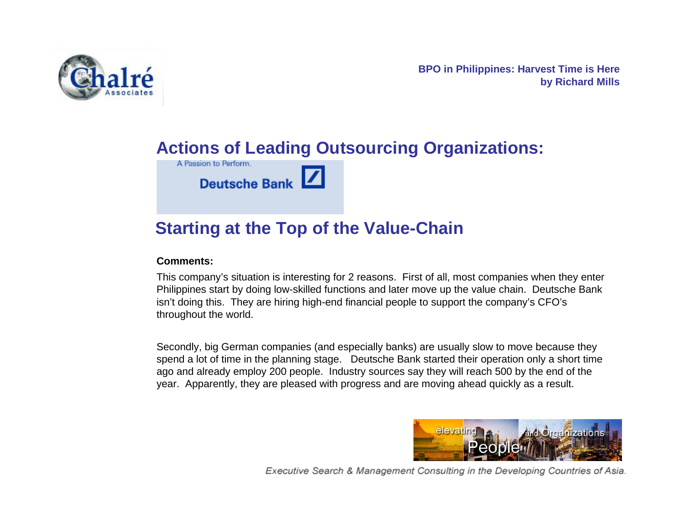

#### **Actions of Leading Outsourcing Organizations:**



**Deutsche Bank** 

#### **Starting at the Top of the Value-Chain**

#### **Comments:**

This company's situation is interesting for 2 reasons. First of all, most companies when they enter Philippines start by doing low-skilled functions and later move up the value chain. Deutsche Bank isn't doing this. They are hiring high-end financial people to support the company's CFO's throughout the world.

Secondly, big German companies (and especially banks) are usually slow to move because they spend a lot of time in the planning stage. Deutsche Bank started their operation only a short time ago and already employ 200 people. Industry sources say they will reach 500 by the end of the year. Apparently, they are pleased with progress and are moving ahead quickly as a result.

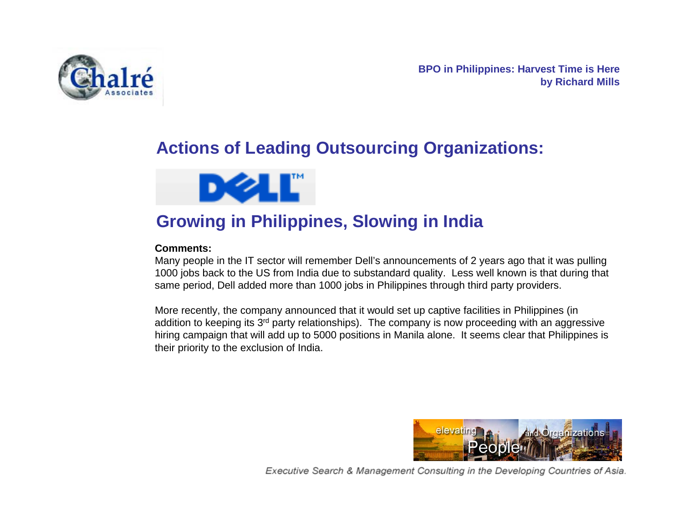

#### **Actions of Leading Outsourcing Organizations:**



### **Growing in Philippines, Slowing in India**

#### **Comments:**

Many people in the IT sector will remember Dell's announcements of 2 years ago that it was pulling 1000 jobs back to the US from India due to substandard quality. Less well known is that during that same period, Dell added more than 1000 jobs in Philippines through third party providers.

More recently, the company announced that it would set up captive facilities in Philippines (in addition to keeping its  $3<sup>rd</sup>$  party relationships). The company is now proceeding with an aggressive hiring campaign that will add up to 5000 positions in Manila alone. It seems clear that Philippines is their priority to the exclusion of India.

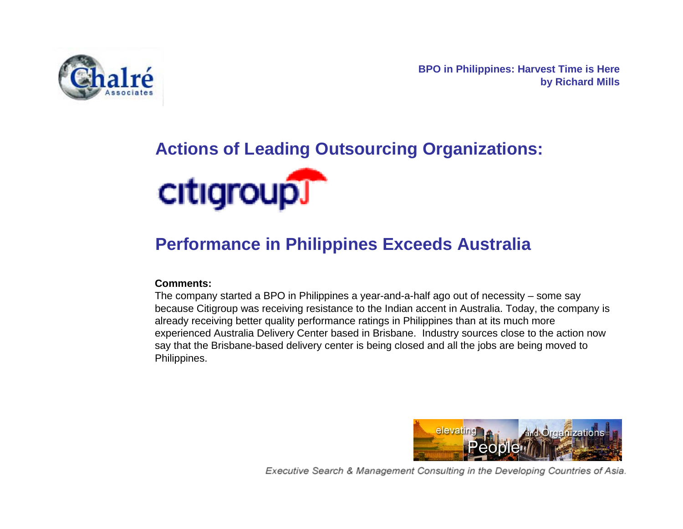

#### **Actions of Leading Outsourcing Organizations:**



#### **Performance in Philippines Exceeds Australia**

#### **Comments:**

The company started a BPO in Philippines a year-and-a-half ago out of necessity – some say because Citigroup was receiving resistance to the Indian accent in Australia. Today, the company is already receiving better quality performance ratings in Philippines than at its much more experienced Australia Delivery Center based in Brisbane. Industry sources close to the action now say that the Brisbane-based delivery center is being closed and all the jobs are being moved to Philippines.

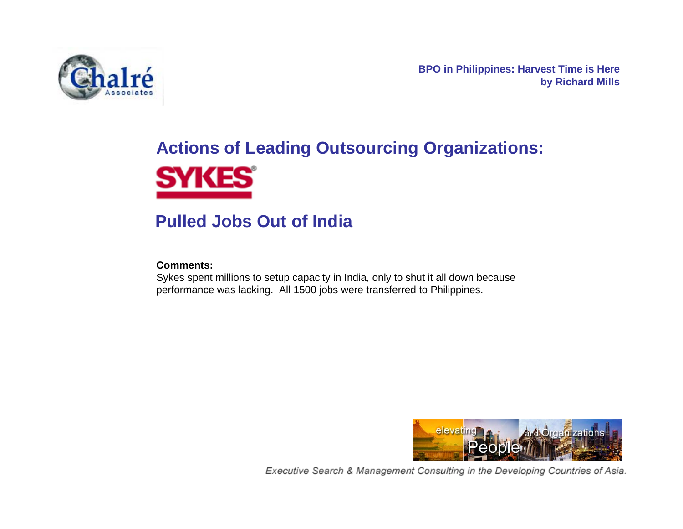

# **Actions of Leading Outsourcing Organizations: SYKES**

#### **Pulled Jobs Out of India**

#### **Comments:**

Sykes spent millions to setup capacity in India, only to shut it all down because performance was lacking. All 1500 jobs were transferred to Philippines.

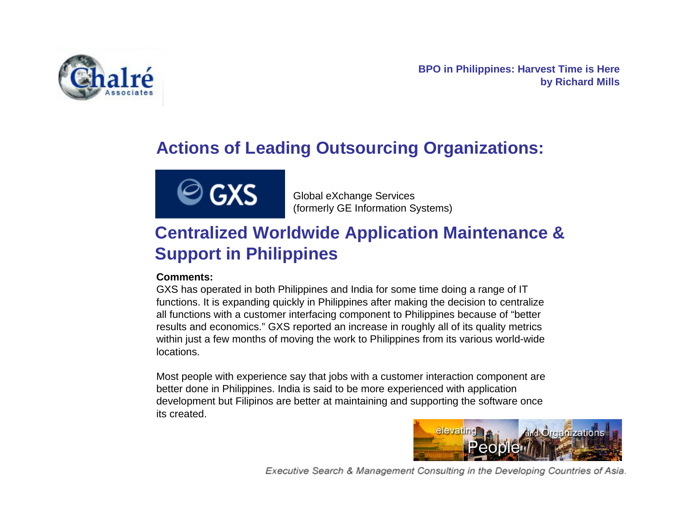

### **Actions of Leading Outsourcing Organizations:**



Global eXchange Services (formerly GE Information Systems)

#### **Centralized Worldwide Application Maintenance & Support in Philippines**

**Comments:** 

GXS has operated in both Philippines and India for some time doing a range of IT functions. It is expanding quickly in Philippines after making the decision to centralize all functions with a customer interfacing component to Philippines because of "better results and economics." GXS reported an increase in roughly all of its quality metrics within just a few months of moving the work to Philippines from its various world-wide locations.

Most people with experience say that jobs with a customer interaction component are better done in Philippines. India is said to be more experienced with application development but Filipinos are better at maintaining and supporting the software once its created.

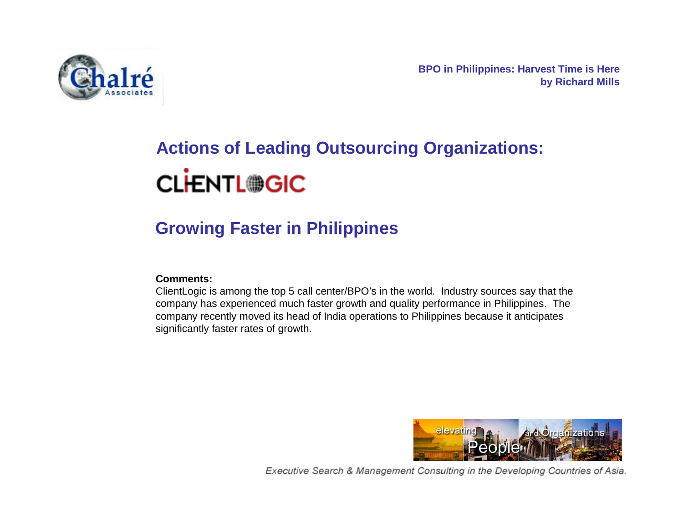

# **Actions of Leading Outsourcing Organizations: CLHENTL®GIC**

### **Growing Faster in Philippines**

#### **Comments:**

ClientLogic is among the top 5 call center/BPO's in the world. Industry sources say that the company has experienced much faster growth and quality performance in Philippines. The company recently moved its head of India operations to Philippines because it anticipates significantly faster rates of growth.

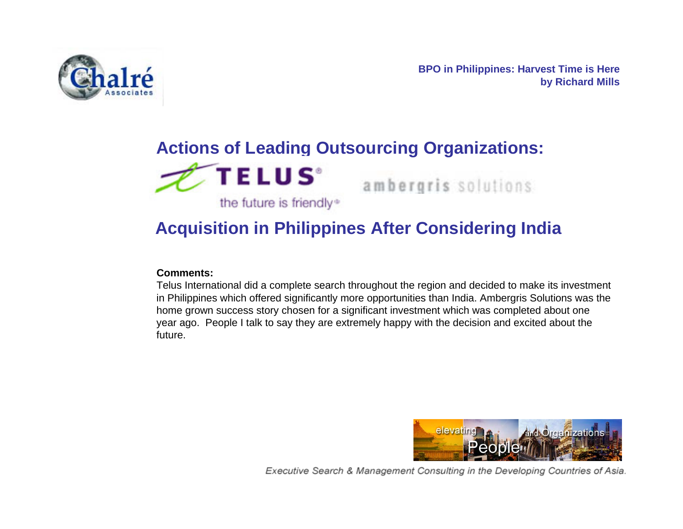

### **Actions of Leading Outsourcing Organizations:**



ambergris solutions

#### **Acquisition in Philippines After Considering India**

#### **Comments:**

Telus International did a complete search throughout the region and decided to make its investment in Philippines which offered significantly more opportunities than India. Ambergris Solutions was the home grown success story chosen for a significant investment which was completed about one year ago. People I talk to say they are extremely happy with the decision and excited about the future.

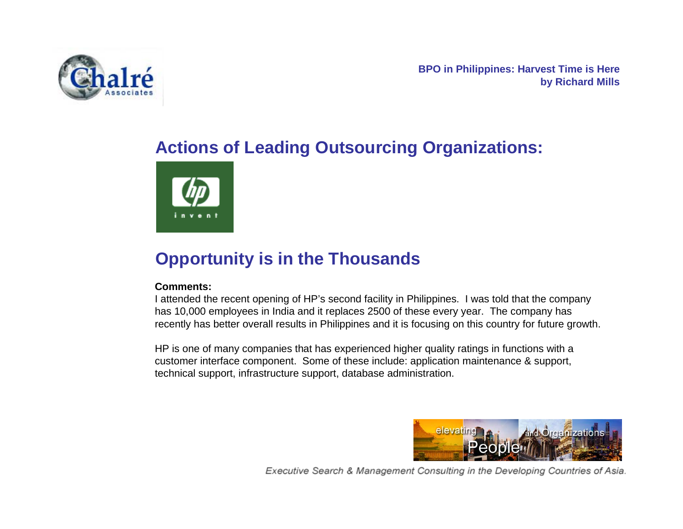

### **Actions of Leading Outsourcing Organizations:**



### **Opportunity is in the Thousands**

#### **Comments:**

I attended the recent opening of HP's second facility in Philippines. I was told that the company has 10,000 employees in India and it replaces 2500 of these every year. The company has recently has better overall results in Philippines and it is focusing on this country for future growth.

HP is one of many companies that has experienced higher quality ratings in functions with a customer interface component. Some of these include: application maintenance & support, technical support, infrastructure support, database administration.

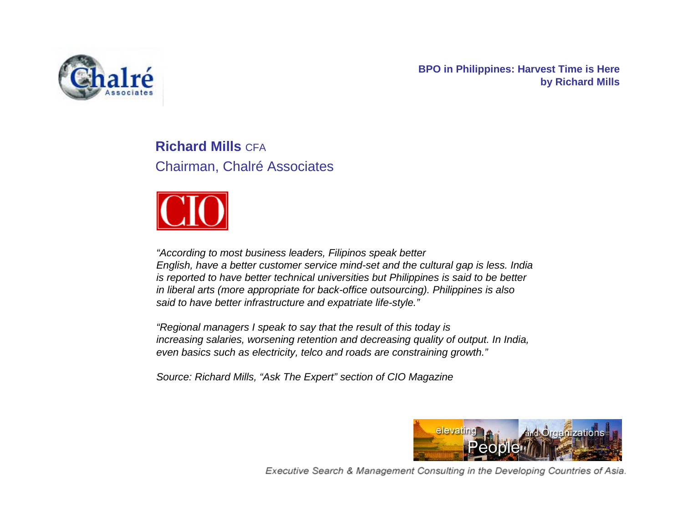

**Richard Mills** CFAChairman, Chalré Associates



*"According to most business leaders, Filipinos speak better English, have a better customer service mind-set and the cultural gap is less. India is reported to have better technical universities but Philippines is said to be better in liberal arts (more appropriate for back-office outsourcing). Philippines is also said to have better infrastructure and expatriate life-style."*

*"Regional managers I speak to say that the result of this today is increasing salaries, worsening retention and decreasing quality of output. In India, even basics such as electricity, telco and roads are constraining growth."*

*Source: Richard Mills, "Ask The Expert" section of CIO Magazine*

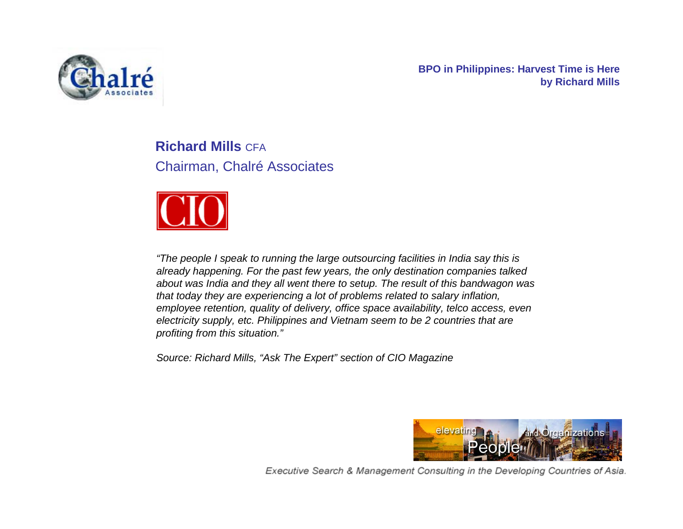

**Richard Mills** CFAChairman, Chalré Associates



*"The people I speak to running the large outsourcing facilities in India say this is already happening. For the past few years, the only destination companies talked about was India and they all went there to setup. The result of this bandwagon was that today they are experiencing a lot of problems related to salary inflation, employee retention, quality of delivery, office space availability, telco access, even electricity supply, etc. Philippines and Vietnam seem to be 2 countries that are profiting from this situation."*

*Source: Richard Mills, "Ask The Expert" section of CIO Magazine*

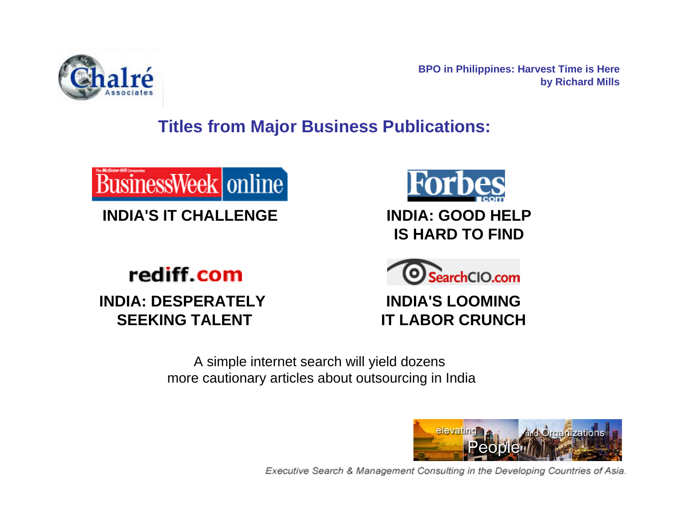

**Titles from Major Business Publications:**



#### **INDIA'S IT CHALLENGE**

### rediff.com

#### **INDIA: DESPERATELY SEEKING TALENT**





#### **INDIA'S LOOMING IT LABOR CRUNCH**

A simple internet search will yield dozens more cautionary articles about outsourcing in India

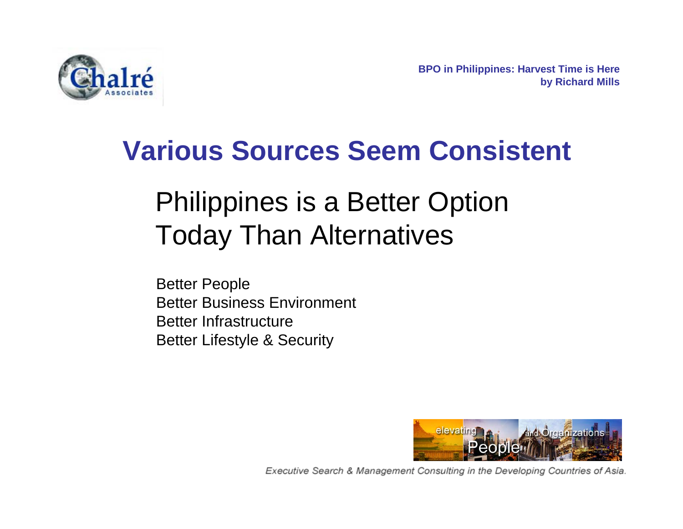

# **Various Sources Seem Consistent**

# Philippines is a Better Option Today Than Alternatives

Better People Better Business EnvironmentBetter InfrastructureBetter Lifestyle & Security

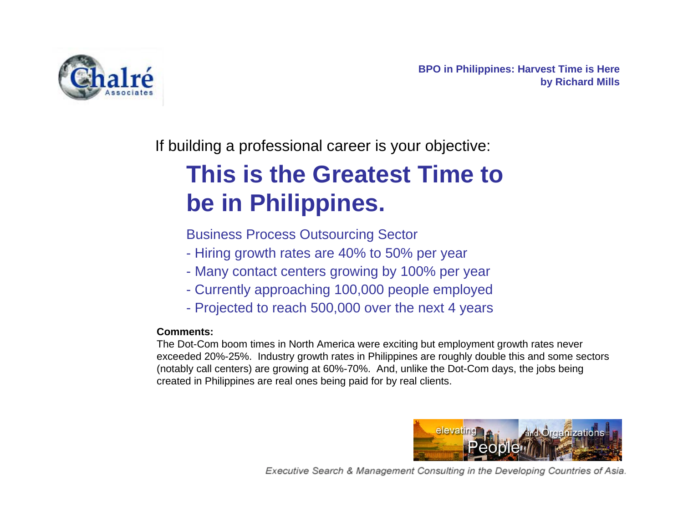

If building a professional career is your objective:

# **This is the Greatest Time to be in Philippines.**

Business Process Outsourcing Sector

- Hiring growth rates are 40% to 50% per year
- Many contact centers growing by 100% per year
- Currently approaching 100,000 people employed
- Projected to reach 500,000 over the next 4 years

#### **Comments:**

The Dot-Com boom times in North America were exciting but employment growth rates never exceeded 20%-25%. Industry growth rates in Philippines are roughly double this and some sectors (notably call centers) are growing at 60%-70%. And, unlike the Dot-Com days, the jobs being created in Philippines are real ones being paid for by real clients.



Executive Search & Management Consulting in the Developing Countries of Asia.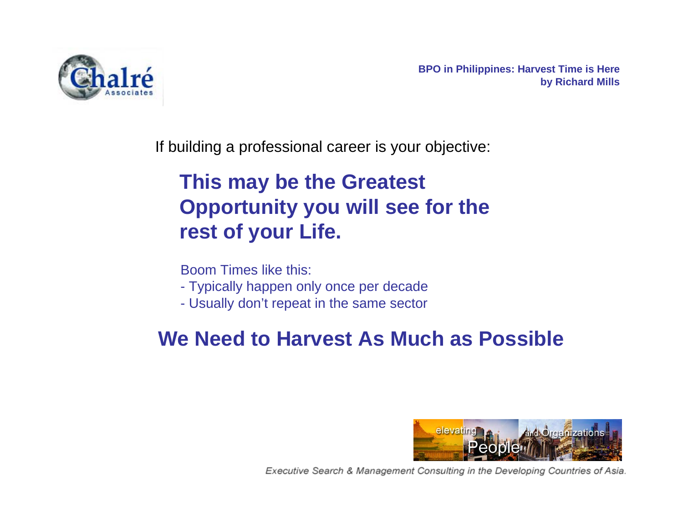

If building a professional career is your objective:

### **This may be the Greatest Opportunity you will see for the rest of your Life.**

Boom Times like this:

- Typically happen only once per decade
- Usually don't repeat in the same sector

### **We Need to Harvest As Much as Possible**

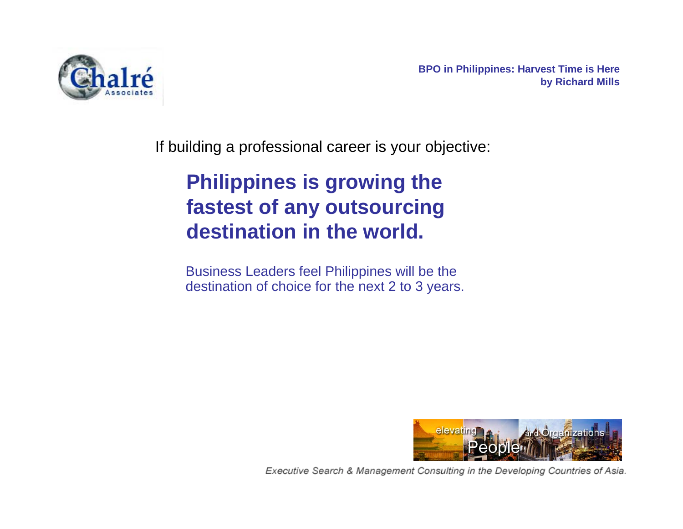

If building a professional career is your objective:

### **Philippines is growing the fastest of any outsourcing destination in the world.**

Business Leaders feel Philippines will be the destination of choice for the next 2 to 3 years.

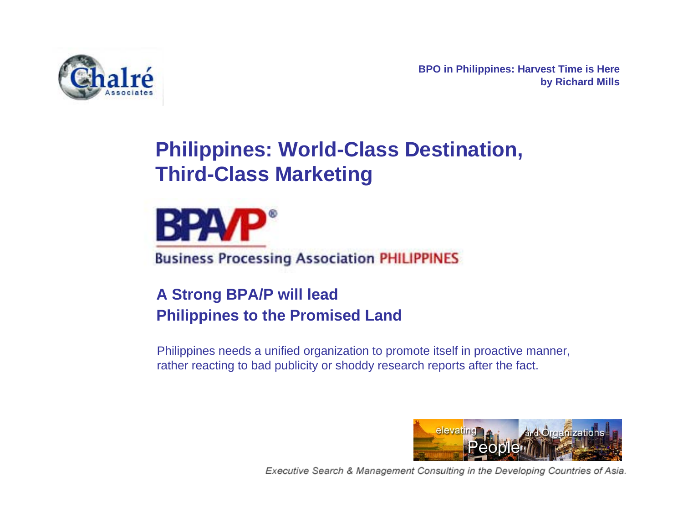

### **Philippines: World-Class Destination, Third-Class Marketing**



#### **A Strong BPA/P will lead Philippines to the Promised Land**

Philippines needs a unified organization to promote itself in proactive manner, rather reacting to bad publicity or shoddy research reports after the fact.

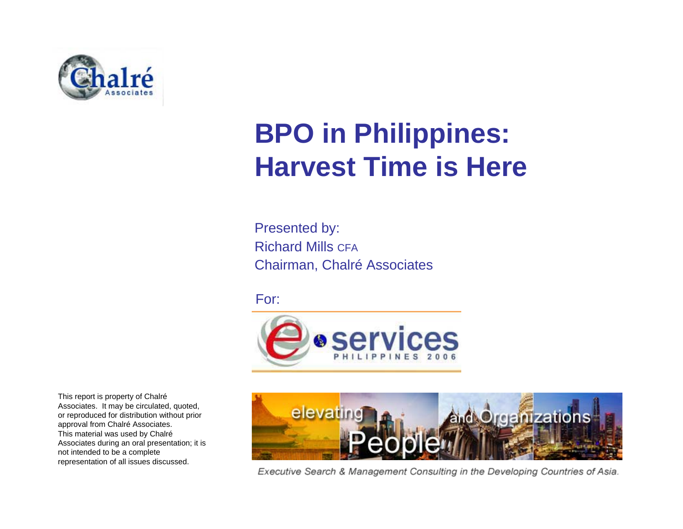

# **BPO in Philippines: Harvest Time is Here**

Presented by: Richard Mills CFAChairman, Chalré Associates

For:



elevating **and Orgenizations** 

Executive Search & Management Consulting in the Developing Countries of Asia.

This report is property of Chalré Associates. It may be circulated, quoted, or reproduced for distribution without prior approval from Chalré Associates. This material was used by Chalré Associates during an oral presentation; it is not intended to be a complete representation of all issues discussed.